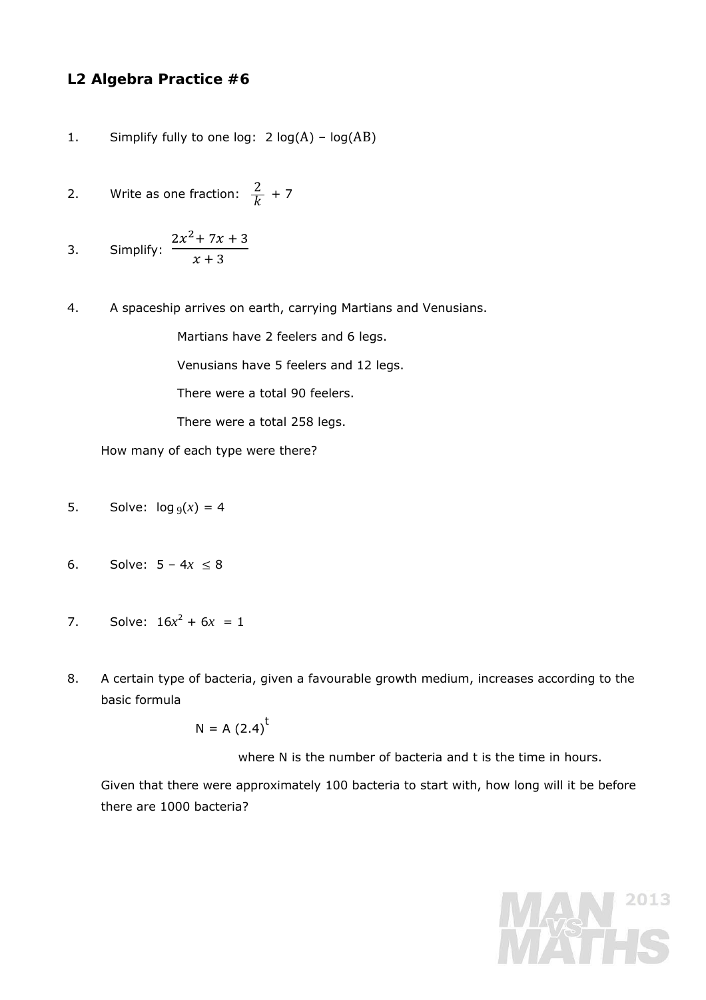## **L2 Algebra Practice #6**

- 1. Simplify fully to one log:  $2 log(A) log(AB)$
- 2. Write as one fraction:  $\frac{2}{k}$  + 7

3. Simplify: 
$$
\frac{2x^2 + 7x + 3}{x + 3}
$$

4. A spaceship arrives on earth, carrying Martians and Venusians.

Martians have 2 feelers and 6 legs.

Venusians have 5 feelers and 12 legs.

There were a total 90 feelers.

There were a total 258 legs.

How many of each type were there?

- 5. Solve:  $log_9(x) = 4$
- 6. Solve:  $5 4x \le 8$
- 7. Solve:  $16x^2 + 6x = 1$
- 8. A certain type of bacteria, given a favourable growth medium, increases according to the basic formula

$$
N = A (2.4)^t
$$

where N is the number of bacteria and *t* is the time in hours.

Given that there were approximately 100 bacteria to start with, how long will it be before there are 1000 bacteria?